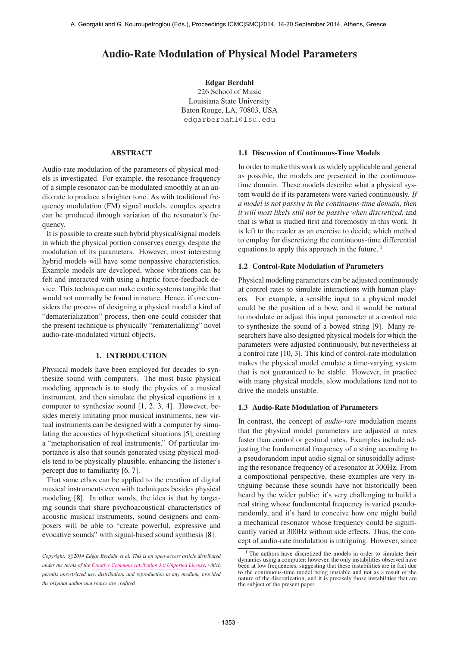# Audio-Rate Modulation of Physical Model Parameters

Edgar Berdahl 226 School of Music Louisiana State University Baton Rouge, LA, 70803, USA [edgarberdahl@lsu.edu](mailto:edgarberdahl@lsu.edu)

## ABSTRACT

Audio-rate modulation of the parameters of physical models is investigated. For example, the resonance frequency of a simple resonator can be modulated smoothly at an audio rate to produce a brighter tone. As with traditional frequency modulation (FM) signal models, complex spectra can be produced through variation of the resonator's frequency.

It is possible to create such hybrid physical/signal models in which the physical portion conserves energy despite the modulation of its parameters. However, most interesting hybrid models will have some nonpassive characteristics. Example models are developed, whose vibrations can be felt and interacted with using a haptic force-feedback device. This technique can make exotic systems tangible that would not normally be found in nature. Hence, if one considers the process of designing a physical model a kind of "dematerialization" process, then one could consider that the present technique is physically "rematerializing" novel audio-rate-modulated virtual objects.

#### 1. INTRODUCTION

Physical models have been employed for decades to synthesize sound with computers. The most basic physical modeling approach is to study the physics of a musical instrument, and then simulate the physical equations in a computer to synthesize sound [1, 2, 3, 4]. However, besides merely imitating prior musical instruments, new virtual instruments can be designed with a computer by simulating the acoustics of hypothetical situations [5], creating a "metaphorisation of real instruments." Of particular importance is also that sounds generated using physical models tend to be physically plausible, enhancing the listener's percept due to familiarity [6, 7].

That same ethos can be applied to the creation of digital musical instruments even with techniques besides physical modeling [8]. In other words, the idea is that by targeting sounds that share psychoacoustical characteristics of acoustic musical instruments, sound designers and composers will be able to "create powerful, expressive and evocative sounds" with signal-based sound synthesis [8].

#### 1.1 Discussion of Continuous-Time Models

In order to make this work as widely applicable and general as possible, the models are presented in the continuoustime domain. These models describe what a physical system would do if its parameters were varied continuously. *If a model is not passive in the continuous-time domain, then it will most likely still not be passive when discretized,* and that is what is studied first and foremostly in this work. It is left to the reader as an exercise to decide which method to employ for discretizing the continuous-time differential equations to apply this approach in the future.  $<sup>1</sup>$ </sup>

### 1.2 Control-Rate Modulation of Parameters

Physical modeling parameters can be adjusted continuously at control rates to simulate interactions with human players. For example, a sensible input to a physical model could be the position of a bow, and it would be natural to modulate or adjust this input parameter at a control rate to synthesize the sound of a bowed string [9]. Many researchers have also designed physical models for which the parameters were adjusted continuously, but nevertheless at a control rate [10, 3]. This kind of control-rate modulation makes the physical model emulate a time-varying system that is not guaranteed to be stable. However, in practice with many physical models, slow modulations tend not to drive the models unstable.

### 1.3 Audio-Rate Modulation of Parameters

In contrast, the concept of *audio-rate* modulation means that the physical model parameters are adjusted at rates faster than control or gestural rates. Examples include adjusting the fundamental frequency of a string according to a pseudorandom input audio signal or sinusoidally adjusting the resonance frequency of a resonator at 300Hz. From a compositional perspective, these examples are very intriguing because these sounds have not historically been heard by the wider public: it's very challenging to build a real string whose fundamental frequency is varied pseudorandomly, and it's hard to conceive how one might build a mechanical resonator whose frequency could be significantly varied at 300Hz without side effects. Thus, the concept of audio-rate modulation is intriguing. However, since

Copyright:  $\bigcirc$ 2014 *Edgar Berdahl et al. This is an open-access article distributed under the terms of the [Creative Commons Attribution 3.0 Unported License,](http://creativecommons.org/licenses/by/3.0/) which permits unrestricted use, distribution, and reproduction in any medium, provided the original author and source are credited.*

<sup>&</sup>lt;sup>1</sup> The authors have discretized the models in order to simulate their dynamics using a computer; however, the only instabilities observed have been at low frequencies, suggesting that these instabilities are in fact due to the continuous-time model being unstable and not as a result of the nature of the discretization, and it is precisely those instabilities that are the subject of the present paper.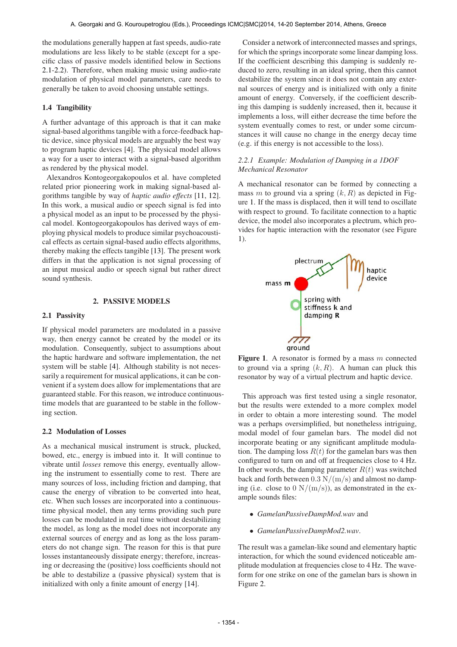the modulations generally happen at fast speeds, audio-rate modulations are less likely to be stable (except for a specific class of passive models identified below in Sections 2.1-2.2). Therefore, when making music using audio-rate modulation of physical model parameters, care needs to generally be taken to avoid choosing unstable settings.

# 1.4 Tangibility

A further advantage of this approach is that it can make signal-based algorithms tangible with a force-feedback haptic device, since physical models are arguably the best way to program haptic devices [4]. The physical model allows a way for a user to interact with a signal-based algorithm as rendered by the physical model.

Alexandros Kontogeorgakopoulos et al. have completed related prior pioneering work in making signal-based algorithms tangible by way of *haptic audio effects* [11, 12]. In this work, a musical audio or speech signal is fed into a physical model as an input to be processed by the physical model. Kontogeorgakopoulos has derived ways of employing physical models to produce similar psychoacoustical effects as certain signal-based audio effects algorithms, thereby making the effects tangible [13]. The present work differs in that the application is not signal processing of an input musical audio or speech signal but rather direct sound synthesis.

# 2. PASSIVE MODELS

### 2.1 Passivity

If physical model parameters are modulated in a passive way, then energy cannot be created by the model or its modulation. Consequently, subject to assumptions about the haptic hardware and software implementation, the net system will be stable [4]. Although stability is not necessarily a requirement for musical applications, it can be convenient if a system does allow for implementations that are guaranteed stable. For this reason, we introduce continuoustime models that are guaranteed to be stable in the following section.

# 2.2 Modulation of Losses

As a mechanical musical instrument is struck, plucked, bowed, etc., energy is imbued into it. It will continue to vibrate until *losses* remove this energy, eventually allowing the instrument to essentially come to rest. There are many sources of loss, including friction and damping, that cause the energy of vibration to be converted into heat, etc. When such losses are incorporated into a continuoustime physical model, then any terms providing such pure losses can be modulated in real time without destabilizing the model, as long as the model does not incorporate any external sources of energy and as long as the loss parameters do not change sign. The reason for this is that pure losses instantaneously dissipate energy; therefore, increasing or decreasing the (positive) loss coefficients should not be able to destabilize a (passive physical) system that is initialized with only a finite amount of energy [14].

Consider a network of interconnected masses and springs, for which the springs incorporate some linear damping loss. If the coefficient describing this damping is suddenly reduced to zero, resulting in an ideal spring, then this cannot destabilize the system since it does not contain any external sources of energy and is initialized with only a finite amount of energy. Conversely, if the coefficient describing this damping is suddenly increased, then it, because it implements a loss, will either decrease the time before the system eventually comes to rest, or under some circumstances it will cause no change in the energy decay time (e.g. if this energy is not accessible to the loss).

# *2.2.1 Example: Modulation of Damping in a 1DOF Mechanical Resonator*

A mechanical resonator can be formed by connecting a mass m to ground via a spring  $(k, R)$  as depicted in Figure 1. If the mass is displaced, then it will tend to oscillate with respect to ground. To facilitate connection to a haptic device, the model also incorporates a plectrum, which provides for haptic interaction with the resonator (see Figure 1).



Figure 1. A resonator is formed by a mass  $m$  connected to ground via a spring  $(k, R)$ . A human can pluck this resonator by way of a virtual plectrum and haptic device.

This approach was first tested using a single resonator, but the results were extended to a more complex model in order to obtain a more interesting sound. The model was a perhaps oversimplified, but nonetheless intriguing, modal model of four gamelan bars. The model did not incorporate beating or any significant amplitude modulation. The damping loss  $R(t)$  for the gamelan bars was then configured to turn on and off at frequencies close to 4 Hz. In other words, the damping parameter  $R(t)$  was switched back and forth between  $0.3 \text{ N/(m/s)}$  and almost no damping (i.e. close to  $0 \text{ N/(m/s)}$ ), as demonstrated in the example sounds files:

- *GamelanPassiveDampMod.wav* and
- *GamelanPassiveDampMod2.wav*.

The result was a gamelan-like sound and elementary haptic interaction, for which the sound evidenced noticeable amplitude modulation at frequencies close to 4 Hz. The waveform for one strike on one of the gamelan bars is shown in Figure 2.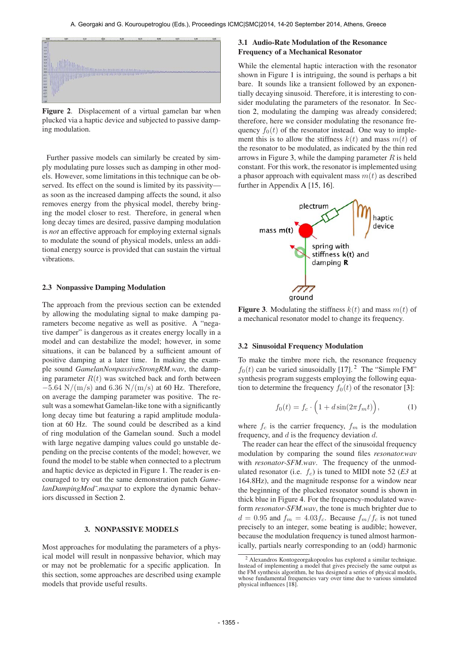

Figure 2. Displacement of a virtual gamelan bar when plucked via a haptic device and subjected to passive damping modulation.

Further passive models can similarly be created by simply modulating pure losses such as damping in other models. However, some limitations in this technique can be observed. Its effect on the sound is limited by its passivity as soon as the increased damping affects the sound, it also removes energy from the physical model, thereby bringing the model closer to rest. Therefore, in general when long decay times are desired, passive damping modulation is *not* an effective approach for employing external signals to modulate the sound of physical models, unless an additional energy source is provided that can sustain the virtual vibrations.

#### 2.3 Nonpassive Damping Modulation

The approach from the previous section can be extended by allowing the modulating signal to make damping parameters become negative as well as positive. A "negative damper" is dangerous as it creates energy locally in a model and can destabilize the model; however, in some situations, it can be balanced by a sufficient amount of positive damping at a later time. In making the example sound *GamelanNonpassiveStrongRM.wav*, the damping parameter  $R(t)$  was switched back and forth between  $-5.64$  N/(m/s) and 6.36 N/(m/s) at 60 Hz. Therefore, on average the damping parameter was positive. The result was a somewhat Gamelan-like tone with a significantly long decay time but featuring a rapid amplitude modulation at 60 Hz. The sound could be described as a kind of ring modulation of the Gamelan sound. Such a model with large negative damping values could go unstable depending on the precise contents of the model; however, we found the model to be stable when connected to a plectrum and haptic device as depicted in Figure 1. The reader is encouraged to try out the same demonstration patch *GamelanDampingMod˜.maxpat* to explore the dynamic behaviors discussed in Section 2.

#### 3. NONPASSIVE MODELS

Most approaches for modulating the parameters of a physical model will result in nonpassive behavior, which may or may not be problematic for a specific application. In this section, some approaches are described using example models that provide useful results.

# 3.1 Audio-Rate Modulation of the Resonance Frequency of a Mechanical Resonator

While the elemental haptic interaction with the resonator shown in Figure 1 is intriguing, the sound is perhaps a bit bare. It sounds like a transient followed by an exponentially decaying sinusoid. Therefore, it is interesting to consider modulating the parameters of the resonator. In Section 2, modulating the damping was already considered; therefore, here we consider modulating the resonance frequency  $f_0(t)$  of the resonator instead. One way to implement this is to allow the stiffness  $k(t)$  and mass  $m(t)$  of the resonator to be modulated, as indicated by the thin red arrows in Figure 3, while the damping parameter  $R$  is held constant. For this work, the resonator is implemented using a phasor approach with equivalent mass  $m(t)$  as described further in Appendix A [15, 16].



Figure 3. Modulating the stiffness  $k(t)$  and mass  $m(t)$  of a mechanical resonator model to change its frequency.

#### 3.2 Sinusoidal Frequency Modulation

To make the timbre more rich, the resonance frequency  $f_0(t)$  can be varied sinusoidally [17].<sup>2</sup> The "Simple FM" synthesis program suggests employing the following equation to determine the frequency  $f_0(t)$  of the resonator [3]:

$$
f_0(t) = f_c \cdot \left(1 + d\sin(2\pi f_m t)\right),\tag{1}
$$

where  $f_c$  is the carrier frequency,  $f_m$  is the modulation frequency, and  $d$  is the frequency deviation  $d$ .

The reader can hear the effect of the sinusoidal frequency modulation by comparing the sound files *resonator.wav* with *resonator-SFM.wav*. The frequency of the unmodulated resonator (i.e.  $f_c$ ) is tuned to MIDI note 52 (*E3* at 164.8Hz), and the magnitude response for a window near the beginning of the plucked resonator sound is shown in thick blue in Figure 4. For the frequency-modulated waveform *resonator-SFM.wav*, the tone is much brighter due to  $d = 0.95$  and  $f_m = 4.03 f_c$ . Because  $f_m/f_c$  is not tuned precisely to an integer, some beating is audible; however, because the modulation frequency is tuned almost harmonically, partials nearly corresponding to an (odd) harmonic

<sup>2</sup> Alexandros Kontogeorgakopoulos has explored a similar technique. Instead of implementing a model that gives precisely the same output as the FM synthesis algorithm, he has designed a series of physical models, whose fundamental frequencies vary over time due to various simulated physical influences [18].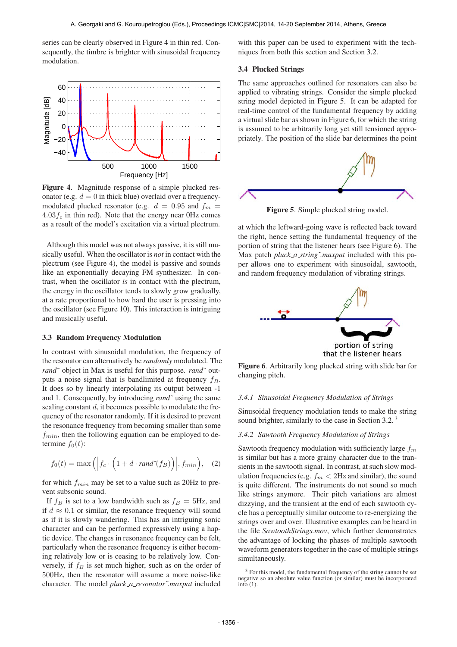series can be clearly observed in Figure 4 in thin red. Consequently, the timbre is brighter with sinusoidal frequency modulation.



Figure 4. Magnitude response of a simple plucked resonator (e.g.  $d = 0$  in thick blue) overlaid over a frequencymodulated plucked resonator (e.g.  $d = 0.95$  and  $f_m =$  $4.03f_c$  in thin red). Note that the energy near OHz comes as a result of the model's excitation via a virtual plectrum.

Although this model was not always passive, it is still musically useful. When the oscillator is *not* in contact with the plectrum (see Figure 4), the model is passive and sounds like an exponentially decaying FM synthesizer. In contrast, when the oscillator *is* in contact with the plectrum, the energy in the oscillator tends to slowly grow gradually, at a rate proportional to how hard the user is pressing into the oscillator (see Figure 10). This interaction is intriguing and musically useful.

#### 3.3 Random Frequency Modulation

In contrast with sinusoidal modulation, the frequency of the resonator can alternatively be *randomly* modulated. The *rand˜* object in Max is useful for this purpose. *rand˜* outputs a noise signal that is bandlimited at frequency  $f_B$ . It does so by linearly interpolating its output between -1 and 1. Consequently, by introducing *rand˜* using the same scaling constant  $d$ , it becomes possible to modulate the frequency of the resonator randomly. If it is desired to prevent the resonance frequency from becoming smaller than some  $f_{min}$ , then the following equation can be employed to determine  $f_0(t)$ :

$$
f_0(t) = \max\left( \left| f_c \cdot \left( 1 + d \cdot rand^*(f_B) \right) \right|, f_{min} \right), \quad (2)
$$

for which  $f_{min}$  may be set to a value such as 20Hz to prevent subsonic sound.

If  $f_B$  is set to a low bandwidth such as  $f_B = 5Hz$ , and if  $d \approx 0.1$  or similar, the resonance frequency will sound as if it is slowly wandering. This has an intriguing sonic character and can be performed expressively using a haptic device. The changes in resonance frequency can be felt, particularly when the resonance frequency is either becoming relatively low or is ceasing to be relatively low. Conversely, if  $f_B$  is set much higher, such as on the order of 500Hz, then the resonator will assume a more noise-like character. The model *pluck a resonator˜.maxpat* included

with this paper can be used to experiment with the techniques from both this section and Section 3.2.

### 3.4 Plucked Strings

The same approaches outlined for resonators can also be applied to vibrating strings. Consider the simple plucked string model depicted in Figure 5. It can be adapted for real-time control of the fundamental frequency by adding a virtual slide bar as shown in Figure 6, for which the string is assumed to be arbitrarily long yet still tensioned appropriately. The position of the slide bar determines the point



Figure 5. Simple plucked string model.

at which the leftward-going wave is reflected back toward the right, hence setting the fundamental frequency of the portion of string that the listener hears (see Figure 6). The Max patch *pluck\_a\_string~maxpat* included with this paper allows one to experiment with sinusoidal, sawtooth, and random frequency modulation of vibrating strings.



Figure 6. Arbitrarily long plucked string with slide bar for changing pitch.

#### *3.4.1 Sinusoidal Frequency Modulation of Strings*

Sinusoidal frequency modulation tends to make the string sound brighter, similarly to the case in Section 3.2.<sup>3</sup>

### *3.4.2 Sawtooth Frequency Modulation of Strings*

Sawtooth frequency modulation with sufficiently large  $f_m$ is similar but has a more grainy character due to the transients in the sawtooth signal. In contrast, at such slow modulation frequencies (e.g.  $f_m < 2Hz$  and similar), the sound is quite different. The instruments do not sound so much like strings anymore. Their pitch variations are almost dizzying, and the transient at the end of each sawtooth cycle has a perceptually similar outcome to re-energizing the strings over and over. Illustrative examples can be heard in the file *SawtoothStrings.mov*, which further demonstrates the advantage of locking the phases of multiple sawtooth waveform generators together in the case of multiple strings simultaneously.

<sup>&</sup>lt;sup>3</sup> For this model, the fundamental frequency of the string cannot be set negative so an absolute value function (or similar) must be incorporated  $\overline{\text{into}}$  (1).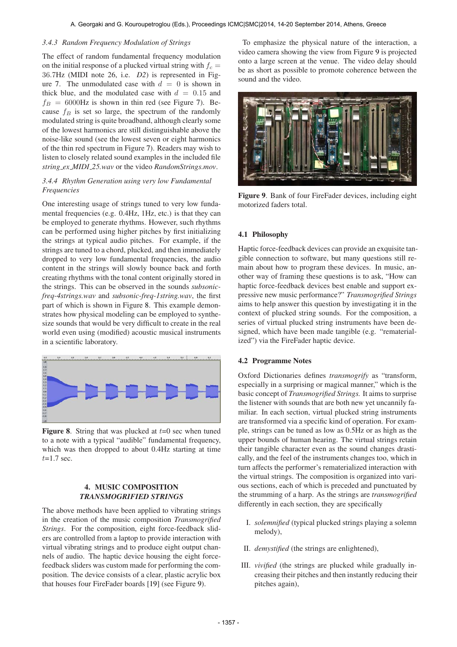#### *3.4.3 Random Frequency Modulation of Strings*

The effect of random fundamental frequency modulation on the initial response of a plucked virtual string with  $f_c$  = 36.7Hz (MIDI note 26, i.e. *D2*) is represented in Figure 7. The unmodulated case with  $d = 0$  is shown in thick blue, and the modulated case with  $d = 0.15$  and  $f_B = 6000$ Hz is shown in thin red (see Figure 7). Because  $f_B$  is set so large, the spectrum of the randomly modulated string is quite broadband, although clearly some of the lowest harmonics are still distinguishable above the noise-like sound (see the lowest seven or eight harmonics of the thin red spectrum in Figure 7). Readers may wish to listen to closely related sound examples in the included file *string ex MIDI 25.wav* or the video *RandomStrings.mov*.

# *3.4.4 Rhythm Generation using very low Fundamental Frequencies*

One interesting usage of strings tuned to very low fundamental frequencies (e.g. 0.4Hz, 1Hz, etc.) is that they can be employed to generate rhythms. However, such rhythms can be performed using higher pitches by first initializing the strings at typical audio pitches. For example, if the strings are tuned to a chord, plucked, and then immediately dropped to very low fundamental frequencies, the audio content in the strings will slowly bounce back and forth creating rhythms with the tonal content originally stored in the strings. This can be observed in the sounds *subsonicfreq-4strings.wav* and *subsonic-freq-1string.wav*, the first part of which is shown in Figure 8. This example demonstrates how physical modeling can be employed to synthesize sounds that would be very difficult to create in the real world even using (modified) acoustic musical instruments in a scientific laboratory.



**Figure 8.** String that was plucked at  $t=0$  sec when tuned to a note with a typical "audible" fundamental frequency, which was then dropped to about 0.4Hz starting at time  $t=1.7$  sec.

# 4. MUSIC COMPOSITION *TRANSMOGRIFIED STRINGS*

The above methods have been applied to vibrating strings in the creation of the music composition *Transmogrified Strings*. For the composition, eight force-feedback sliders are controlled from a laptop to provide interaction with virtual vibrating strings and to produce eight output channels of audio. The haptic device housing the eight forcefeedback sliders was custom made for performing the composition. The device consists of a clear, plastic acrylic box that houses four FireFader boards [19] (see Figure 9).

To emphasize the physical nature of the interaction, a video camera showing the view from Figure 9 is projected onto a large screen at the venue. The video delay should be as short as possible to promote coherence between the sound and the video.



Figure 9. Bank of four FireFader devices, including eight motorized faders total.

### 4.1 Philosophy

Haptic force-feedback devices can provide an exquisite tangible connection to software, but many questions still remain about how to program these devices. In music, another way of framing these questions is to ask, "How can haptic force-feedback devices best enable and support expressive new music performance?" *Transmogrified Strings* aims to help answer this question by investigating it in the context of plucked string sounds. For the composition, a series of virtual plucked string instruments have been designed, which have been made tangible (e.g. "rematerialized") via the FireFader haptic device.

### 4.2 Programme Notes

Oxford Dictionaries defines *transmogrify* as "transform, especially in a surprising or magical manner," which is the basic concept of *Transmogrified Strings.* It aims to surprise the listener with sounds that are both new yet uncannily familiar. In each section, virtual plucked string instruments are transformed via a specific kind of operation. For example, strings can be tuned as low as 0.5Hz or as high as the upper bounds of human hearing. The virtual strings retain their tangible character even as the sound changes drastically, and the feel of the instruments changes too, which in turn affects the performer's rematerialized interaction with the virtual strings. The composition is organized into various sections, each of which is preceded and punctuated by the strumming of a harp. As the strings are *transmogrified* differently in each section, they are specifically

- I. *solemnified* (typical plucked strings playing a solemn melody),
- II. *demystified* (the strings are enlightened),
- III. *vivified* (the strings are plucked while gradually increasing their pitches and then instantly reducing their pitches again),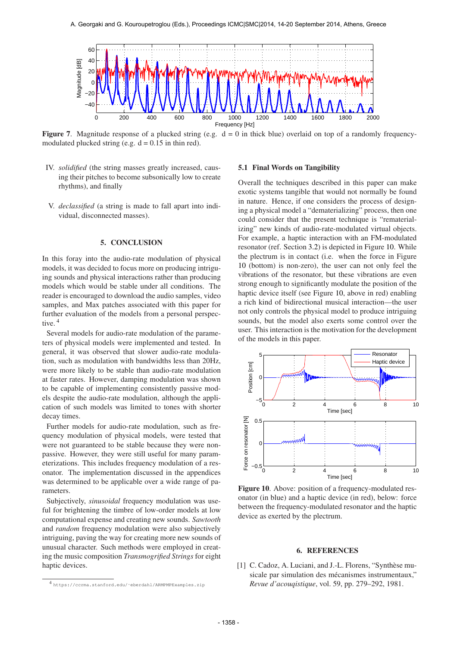

**Figure 7.** Magnitude response of a plucked string (e.g.  $d = 0$  in thick blue) overlaid on top of a randomly frequencymodulated plucked string (e.g.  $d = 0.15$  in thin red).

- IV. *solidified* (the string masses greatly increased, causing their pitches to become subsonically low to create rhythms), and finally
- V. *declassified* (a string is made to fall apart into individual, disconnected masses).

# 5. CONCLUSION

In this foray into the audio-rate modulation of physical models, it was decided to focus more on producing intriguing sounds and physical interactions rather than producing models which would be stable under all conditions. The reader is encouraged to download the audio samples, video samples, and Max patches associated with this paper for further evaluation of the models from a personal perspective.<sup>4</sup>

Several models for audio-rate modulation of the parameters of physical models were implemented and tested. In general, it was observed that slower audio-rate modulation, such as modulation with bandwidths less than 20Hz, were more likely to be stable than audio-rate modulation at faster rates. However, damping modulation was shown to be capable of implementing consistently passive models despite the audio-rate modulation, although the application of such models was limited to tones with shorter decay times.

Further models for audio-rate modulation, such as frequency modulation of physical models, were tested that were not guaranteed to be stable because they were nonpassive. However, they were still useful for many parameterizations. This includes frequency modulation of a resonator. The implementation discussed in the appendices was determined to be applicable over a wide range of parameters.

Subjectively, *sinusoidal* frequency modulation was useful for brightening the timbre of low-order models at low computational expense and creating new sounds. *Sawtooth* and *random* frequency modulation were also subjectively intriguing, paving the way for creating more new sounds of unusual character. Such methods were employed in creating the music composition *Transmogrified Strings* for eight haptic devices.

#### 5.1 Final Words on Tangibility

Overall the techniques described in this paper can make exotic systems tangible that would not normally be found in nature. Hence, if one considers the process of designing a physical model a "dematerializing" process, then one could consider that the present technique is "rematerializing" new kinds of audio-rate-modulated virtual objects. For example, a haptic interaction with an FM-modulated resonator (ref. Section 3.2) is depicted in Figure 10. While the plectrum is in contact (i.e. when the force in Figure 10 (bottom) is non-zero), the user can not only feel the vibrations of the resonator, but these vibrations are even strong enough to significantly modulate the position of the haptic device itself (see Figure 10, above in red) enabling a rich kind of bidirectional musical interaction—the user not only controls the physical model to produce intriguing sounds, but the model also exerts some control over the user. This interaction is the motivation for the development of the models in this paper.



Figure 10. Above: position of a frequency-modulated resonator (in blue) and a haptic device (in red), below: force between the frequency-modulated resonator and the haptic device as exerted by the plectrum.

# 6. REFERENCES

[1] C. Cadoz, A. Luciani, and J.-L. Florens, "Synthèse musicale par simulation des mécanismes instrumentaux," *Revue d'acouqistique*, vol. 59, pp. 279–292, 1981.

<sup>4</sup> [https://ccrma.stanford.edu/˜eberdahl/ARMPMPExamples.zip](https://ccrma.stanford.edu/~eberdahl/ARMPMPExamples.zip)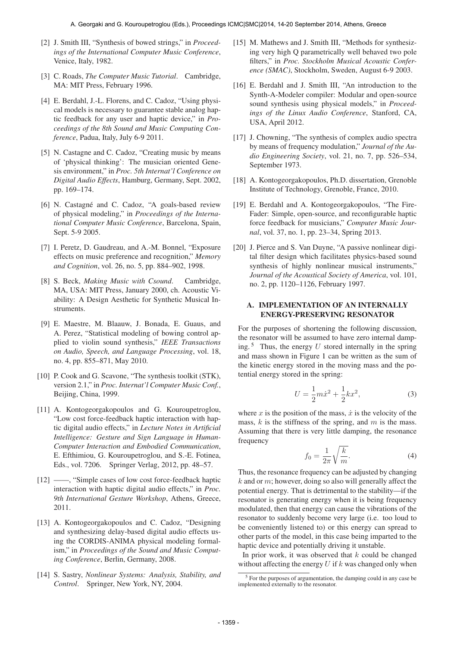- [2] J. Smith III, "Synthesis of bowed strings," in *Proceedings of the International Computer Music Conference*, Venice, Italy, 1982.
- [3] C. Roads, *The Computer Music Tutorial*. Cambridge, MA: MIT Press, February 1996.
- [4] E. Berdahl, J.-L. Florens, and C. Cadoz, "Using physical models is necessary to guarantee stable analog haptic feedback for any user and haptic device," in *Proceedings of the 8th Sound and Music Computing Conference*, Padua, Italy, July 6-9 2011.
- [5] N. Castagne and C. Cadoz, "Creating music by means of 'physical thinking': The musician oriented Genesis environment," in *Proc. 5th Internat'l Conference on Digital Audio Effects*, Hamburg, Germany, Sept. 2002, pp. 169–174.
- [6] N. Castagné and C. Cadoz, "A goals-based review of physical modeling," in *Proceedings of the International Computer Music Conference*, Barcelona, Spain, Sept. 5-9 2005.
- [7] I. Peretz, D. Gaudreau, and A.-M. Bonnel, "Exposure effects on music preference and recognition," *Memory and Cognition*, vol. 26, no. 5, pp. 884–902, 1998.
- [8] S. Beck, *Making Music with Csound*. Cambridge, MA, USA: MIT Press, January 2000, ch. Acoustic Viability: A Design Aesthetic for Synthetic Musical Instruments.
- [9] E. Maestre, M. Blaauw, J. Bonada, E. Guaus, and A. Perez, "Statistical modeling of bowing control applied to violin sound synthesis," *IEEE Transactions on Audio, Speech, and Language Processing*, vol. 18, no. 4, pp. 855–871, May 2010.
- [10] P. Cook and G. Scavone, "The synthesis toolkit (STK), version 2.1," in *Proc. Internat'l Computer Music Conf.*, Beijing, China, 1999.
- [11] A. Kontogeorgakopoulos and G. Kouroupetroglou, "Low cost force-feedback haptic interaction with haptic digital audio effects," in *Lecture Notes in Artificial Intelligence: Gesture and Sign Language in Human-Computer Interaction and Embodied Communication*, E. Efthimiou, G. Kouroupetroglou, and S.-E. Fotinea, Eds., vol. 7206. Springer Verlag, 2012, pp. 48–57.
- [12] ——, "Simple cases of low cost force-feedback haptic interaction with haptic digital audio effects," in *Proc. 9th International Gesture Workshop*, Athens, Greece, 2011.
- [13] A. Kontogeorgakopoulos and C. Cadoz, "Designing and synthesizing delay-based digital audio effects using the CORDIS-ANIMA physical modeling formalism," in *Proceedings of the Sound and Music Computing Conference*, Berlin, Germany, 2008.
- [14] S. Sastry, *Nonlinear Systems: Analysis, Stability, and Control*. Springer, New York, NY, 2004.
- [15] M. Mathews and J. Smith III, "Methods for synthesizing very high Q parametrically well behaved two pole filters," in *Proc. Stockholm Musical Acoustic Conference (SMAC)*, Stockholm, Sweden, August 6-9 2003.
- [16] E. Berdahl and J. Smith III, "An introduction to the Synth-A-Modeler compiler: Modular and open-source sound synthesis using physical models," in *Proceedings of the Linux Audio Conference*, Stanford, CA, USA, April 2012.
- [17] J. Chowning, "The synthesis of complex audio spectra by means of frequency modulation," *Journal of the Audio Engineering Society*, vol. 21, no. 7, pp. 526–534, September 1973.
- [18] A. Kontogeorgakopoulos, Ph.D. dissertation, Grenoble Institute of Technology, Grenoble, France, 2010.
- [19] E. Berdahl and A. Kontogeorgakopoulos, "The Fire-Fader: Simple, open-source, and reconfigurable haptic force feedback for musicians," *Computer Music Journal*, vol. 37, no. 1, pp. 23–34, Spring 2013.
- [20] J. Pierce and S. Van Duyne, "A passive nonlinear digital filter design which facilitates physics-based sound synthesis of highly nonlinear musical instruments," *Journal of the Acoustical Society of America*, vol. 101, no. 2, pp. 1120–1126, February 1997.

### A. IMPLEMENTATION OF AN INTERNALLY ENERGY-PRESERVING RESONATOR

For the purposes of shortening the following discussion, the resonator will be assumed to have zero internal damping.<sup>5</sup> Thus, the energy U stored internally in the spring and mass shown in Figure 1 can be written as the sum of the kinetic energy stored in the moving mass and the potential energy stored in the spring:

$$
U = \frac{1}{2}m\dot{x}^2 + \frac{1}{2}kx^2,
$$
 (3)

where x is the position of the mass,  $\dot{x}$  is the velocity of the mass,  $k$  is the stiffness of the spring, and  $m$  is the mass. Assuming that there is very little damping, the resonance frequency

$$
f_0 = \frac{1}{2\pi} \sqrt{\frac{k}{m}}.\tag{4}
$$

Thus, the resonance frequency can be adjusted by changing  $k$  and or  $m$ ; however, doing so also will generally affect the potential energy. That is detrimental to the stability—if the resonator is generating energy when it is being frequency modulated, then that energy can cause the vibrations of the resonator to suddenly become very large (i.e. too loud to be conveniently listened to) or this energy can spread to other parts of the model, in this case being imparted to the haptic device and potentially driving it unstable.

In prior work, it was observed that  $k$  could be changed without affecting the energy  $U$  if  $k$  was changed only when

<sup>5</sup> For the purposes of argumentation, the damping could in any case be implemented externally to the resonator.